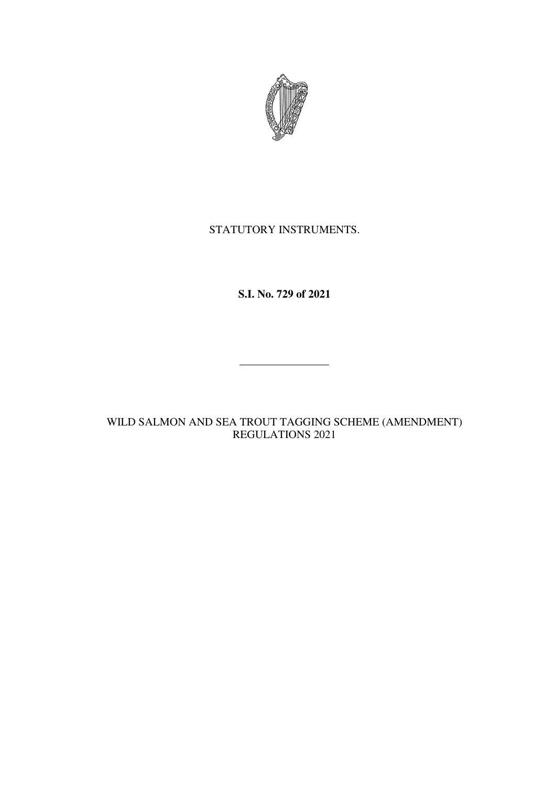

## STATUTORY INSTRUMENTS.

**S.I. No. 729 of 2021** 

WILD SALMON AND SEA TROUT TAGGING SCHEME (AMENDMENT) REGULATIONS 2021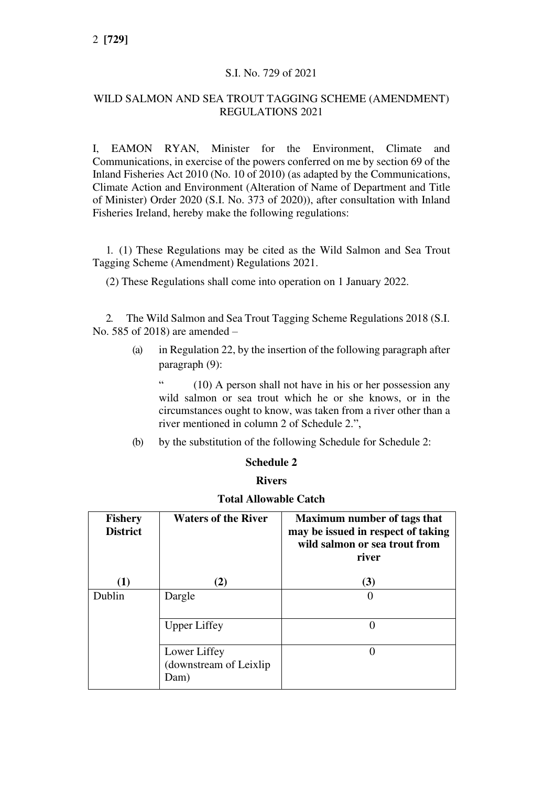## S.I. No. 729 of 2021

## WILD SALMON AND SEA TROUT TAGGING SCHEME (AMENDMENT) REGULATIONS 2021

I, EAMON RYAN, Minister for the Environment, Climate and Communications, in exercise of the powers conferred on me by section 69 of the Inland Fisheries Act 2010 (No. 10 of 2010) (as adapted by the Communications, Climate Action and Environment (Alteration of Name of Department and Title of Minister) Order 2020 (S.I. No. 373 of 2020)), after consultation with Inland Fisheries Ireland, hereby make the following regulations:

1. (1) These Regulations may be cited as the Wild Salmon and Sea Trout Tagging Scheme (Amendment) Regulations 2021.

(2) These Regulations shall come into operation on 1 January 2022.

2. The Wild Salmon and Sea Trout Tagging Scheme Regulations 2018 (S.I. No. 585 of 2018) are amended –

> (a) in Regulation 22, by the insertion of the following paragraph after paragraph (9):

" (10) A person shall not have in his or her possession any wild salmon or sea trout which he or she knows, or in the circumstances ought to know, was taken from a river other than a river mentioned in column 2 of Schedule 2.",

(b) by the substitution of the following Schedule for Schedule 2:

#### **Schedule 2**

#### **Rivers**

| <b>Fishery</b><br><b>District</b> | <b>Waters of the River</b>                      | <b>Maximum number of tags that</b><br>may be issued in respect of taking<br>wild salmon or sea trout from<br>river |
|-----------------------------------|-------------------------------------------------|--------------------------------------------------------------------------------------------------------------------|
| (1)                               | (2)                                             | (3)                                                                                                                |
| Dublin                            | Dargle                                          |                                                                                                                    |
|                                   | <b>Upper Liffey</b>                             |                                                                                                                    |
|                                   | Lower Liffey<br>(downstream of Leixlip)<br>Dam) |                                                                                                                    |

## **Total Allowable Catch**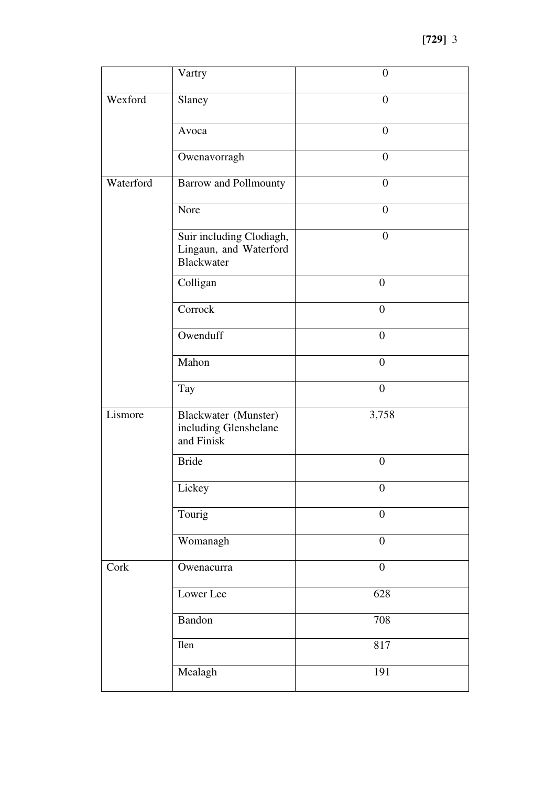|           | Vartry                                                                  | $\overline{0}$   |
|-----------|-------------------------------------------------------------------------|------------------|
| Wexford   | Slaney                                                                  | $\overline{0}$   |
|           | Avoca                                                                   | $\boldsymbol{0}$ |
|           | Owenavorragh                                                            | $\boldsymbol{0}$ |
| Waterford | <b>Barrow and Pollmounty</b>                                            | $\overline{0}$   |
|           | Nore                                                                    | $\boldsymbol{0}$ |
|           | Suir including Clodiagh,<br>Lingaun, and Waterford<br><b>Blackwater</b> | $\overline{0}$   |
|           | Colligan                                                                | $\overline{0}$   |
|           | Corrock                                                                 | $\boldsymbol{0}$ |
|           | Owenduff                                                                | $\boldsymbol{0}$ |
|           | Mahon                                                                   | $\overline{0}$   |
|           | Tay                                                                     | $\boldsymbol{0}$ |
| Lismore   | Blackwater (Munster)<br>including Glenshelane<br>and Finisk             | 3,758            |
|           | <b>Bride</b>                                                            | $\overline{0}$   |
|           | Lickey                                                                  | $\boldsymbol{0}$ |
|           | Tourig                                                                  | $\overline{0}$   |
|           | Womanagh                                                                | $\overline{0}$   |
| Cork      | Owenacurra                                                              | $\boldsymbol{0}$ |
|           | Lower Lee                                                               | 628              |
|           | Bandon                                                                  | 708              |
|           | Ilen                                                                    | 817              |
|           | Mealagh                                                                 | 191              |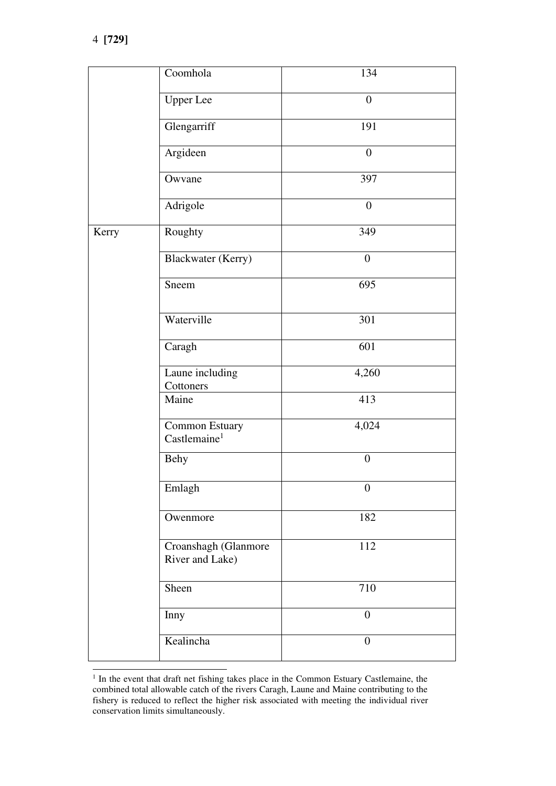|       | Coomhola                                   | 134              |
|-------|--------------------------------------------|------------------|
|       | <b>Upper Lee</b>                           | $\boldsymbol{0}$ |
|       | Glengarriff                                | 191              |
|       | Argideen                                   | $\boldsymbol{0}$ |
|       | Owvane                                     | 397              |
|       | Adrigole                                   | $\overline{0}$   |
| Kerry | Roughty                                    | 349              |
|       | Blackwater (Kerry)                         | $\boldsymbol{0}$ |
|       | Sneem                                      | 695              |
|       | Waterville                                 | 301              |
|       | Caragh                                     | 601              |
|       | Laune including<br>Cottoners               | 4,260            |
|       | Maine                                      | 413              |
|       | Common Estuary<br>Castlemaine <sup>1</sup> | 4,024            |
|       | <b>Behy</b>                                | $\boldsymbol{0}$ |
|       | Emlagh                                     | $\theta$         |
|       | Owenmore                                   | 182              |
|       | Croanshagh (Glanmore<br>River and Lake)    | 112              |
|       | Sheen                                      | 710              |
|       | Inny                                       | $\boldsymbol{0}$ |
|       | Kealincha                                  | $\boldsymbol{0}$ |

 $<sup>1</sup>$  In the event that draft net fishing takes place in the Common Estuary Castlemaine, the</sup> combined total allowable catch of the rivers Caragh, Laune and Maine contributing to the fishery is reduced to reflect the higher risk associated with meeting the individual river conservation limits simultaneously.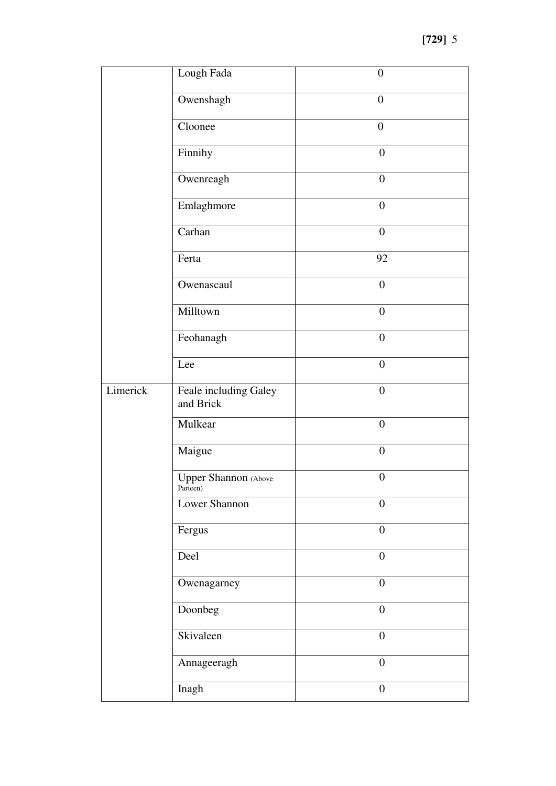|          | Lough Fada                              | $\boldsymbol{0}$ |
|----------|-----------------------------------------|------------------|
|          | Owenshagh                               | $\boldsymbol{0}$ |
|          | Cloonee                                 | $\boldsymbol{0}$ |
|          | Finnihy                                 | $\boldsymbol{0}$ |
|          | Owenreagh                               | $\boldsymbol{0}$ |
|          | Emlaghmore                              | $\boldsymbol{0}$ |
|          | Carhan                                  | $\boldsymbol{0}$ |
|          | Ferta                                   | 92               |
|          | Owenascaul                              | $\boldsymbol{0}$ |
|          | Milltown                                | $\boldsymbol{0}$ |
|          | Feohanagh                               | $\boldsymbol{0}$ |
|          | Lee                                     | $\boldsymbol{0}$ |
| Limerick | Feale including Galey                   | $\boldsymbol{0}$ |
|          | and Brick                               |                  |
|          | Mulkear                                 | $\boldsymbol{0}$ |
|          | Maigue                                  | $\overline{0}$   |
|          | <b>Upper Shannon</b> (Above<br>Parteen) | $\boldsymbol{0}$ |
|          | Lower Shannon                           | $\boldsymbol{0}$ |
|          | Fergus                                  | $\overline{0}$   |
|          | Deel                                    | $\overline{0}$   |
|          | Owenagarney                             | $\boldsymbol{0}$ |
|          | Doonbeg                                 | $\boldsymbol{0}$ |
|          | Skivaleen                               | $\overline{0}$   |
|          | Annageeragh                             | $\boldsymbol{0}$ |
|          | Inagh                                   | $\boldsymbol{0}$ |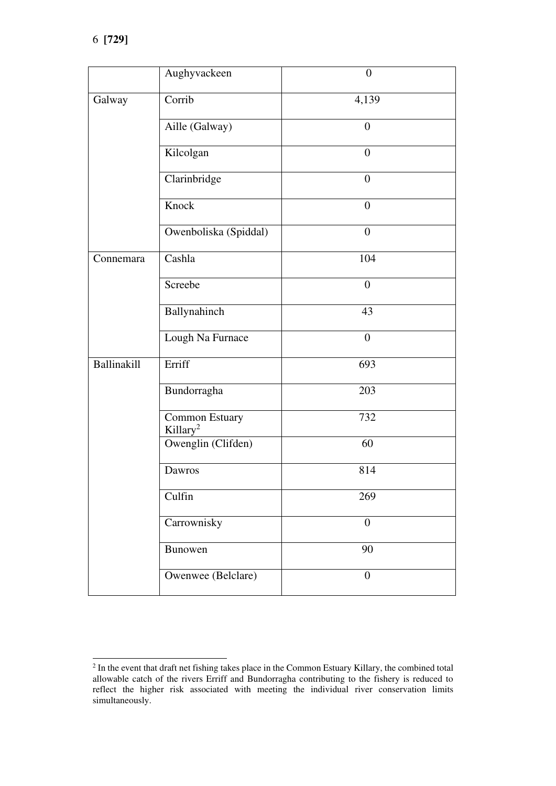|                    | Aughyvackeen                           | $\overline{0}$   |
|--------------------|----------------------------------------|------------------|
| Galway             | Corrib                                 | 4,139            |
|                    | Aille (Galway)                         | $\boldsymbol{0}$ |
|                    | Kilcolgan                              | $\overline{0}$   |
|                    | Clarinbridge                           | $\overline{0}$   |
|                    | Knock                                  | $\overline{0}$   |
|                    | Owenboliska (Spiddal)                  | $\boldsymbol{0}$ |
| Connemara          | Cashla                                 | 104              |
|                    | Screebe                                | $\overline{0}$   |
|                    | Ballynahinch                           | 43               |
|                    | Lough Na Furnace                       | $\overline{0}$   |
| <b>Ballinakill</b> | Erriff                                 | 693              |
|                    | Bundorragha                            | 203              |
|                    | Common Estuary<br>Killary <sup>2</sup> | 732              |
|                    | Owenglin (Clifden)                     | 60               |
|                    | Dawros                                 | 814              |
|                    | Culfin                                 | 269              |
|                    | Carrownisky                            | $\overline{0}$   |
|                    | Bunowen                                | 90               |
|                    | Owenwee (Belclare)                     | $\overline{0}$   |

<sup>&</sup>lt;sup>2</sup> In the event that draft net fishing takes place in the Common Estuary Killary, the combined total allowable catch of the rivers Erriff and Bundorragha contributing to the fishery is reduced to reflect the higher risk associated with meeting the individual river conservation limits simultaneously.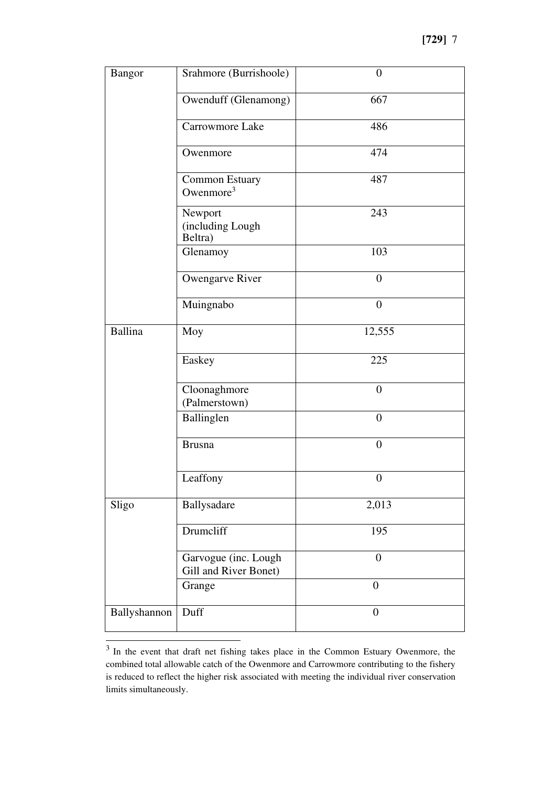| <b>Bangor</b>  | Srahmore (Burrishoole)                        | $\overline{0}$   |
|----------------|-----------------------------------------------|------------------|
|                | Owenduff (Glenamong)                          | 667              |
|                | Carrowmore Lake                               | 486              |
|                | Owenmore                                      | 474              |
|                | Common Estuary<br>Owenmore $3$                | 487              |
|                | Newport<br>(including Lough<br>Beltra)        | 243              |
|                | Glenamoy                                      | 103              |
|                | Owengarve River                               | $\theta$         |
|                | Muingnabo                                     | $\overline{0}$   |
| <b>Ballina</b> | Moy                                           | 12,555           |
|                | Easkey                                        | 225              |
|                | Cloonaghmore<br>(Palmerstown)                 | $\overline{0}$   |
|                | Ballinglen                                    | $\overline{0}$   |
|                | <b>Brusna</b>                                 | $\overline{0}$   |
|                | Leaffony                                      | $\boldsymbol{0}$ |
| Sligo          | Ballysadare                                   | 2,013            |
|                | Drumcliff                                     | 195              |
|                | Garvogue (inc. Lough<br>Gill and River Bonet) | $\boldsymbol{0}$ |
|                | Grange                                        | $\boldsymbol{0}$ |
| Ballyshannon   | Duff                                          | $\overline{0}$   |

<sup>&</sup>lt;sup>3</sup> In the event that draft net fishing takes place in the Common Estuary Owenmore, the combined total allowable catch of the Owenmore and Carrowmore contributing to the fishery is reduced to reflect the higher risk associated with meeting the individual river conservation limits simultaneously.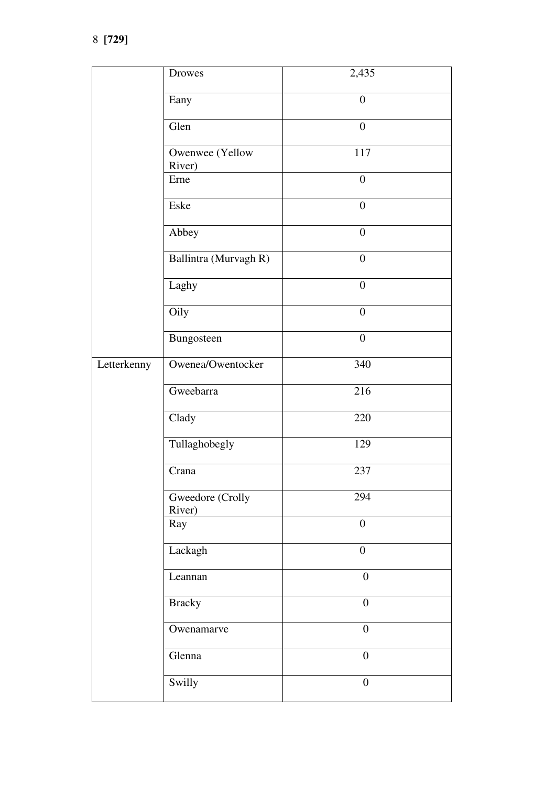|             | Drowes                     | 2,435            |
|-------------|----------------------------|------------------|
|             | Eany                       | $\boldsymbol{0}$ |
|             | Glen                       | $\boldsymbol{0}$ |
|             | Owenwee (Yellow<br>River)  | 117              |
|             | Erne                       | $\boldsymbol{0}$ |
|             | Eske                       | $\boldsymbol{0}$ |
|             | Abbey                      | $\boldsymbol{0}$ |
|             | Ballintra (Murvagh R)      | $\boldsymbol{0}$ |
|             | Laghy                      | $\boldsymbol{0}$ |
|             | Oily                       | $\overline{0}$   |
|             | Bungosteen                 | $\boldsymbol{0}$ |
| Letterkenny | Owenea/Owentocker          | 340              |
|             | Gweebarra                  | 216              |
|             | Clady                      | 220              |
|             | Tullaghobegly              | 129              |
|             | Crana                      | 237              |
|             | Gweedore (Crolly<br>River) | 294              |
|             | Ray                        | $\boldsymbol{0}$ |
|             | Lackagh                    | $\boldsymbol{0}$ |
|             | Leannan                    | $\boldsymbol{0}$ |
|             | <b>Bracky</b>              | $\overline{0}$   |
|             | Owenamarve                 | $\boldsymbol{0}$ |
|             | Glenna                     | $\overline{0}$   |
|             | Swilly                     | $\boldsymbol{0}$ |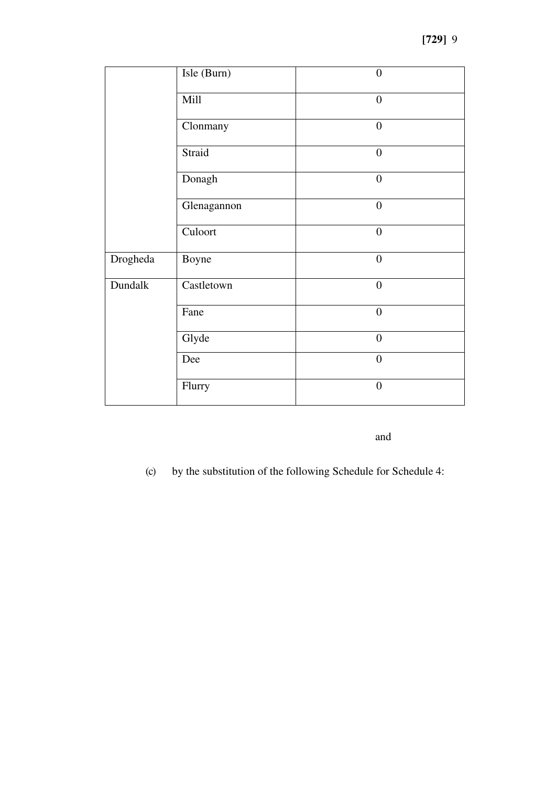|          | Isle (Burn) | $\overline{0}$   |
|----------|-------------|------------------|
|          | Mill        | $\boldsymbol{0}$ |
|          | Clonmany    | $\boldsymbol{0}$ |
|          | Straid      | $\boldsymbol{0}$ |
|          | Donagh      | $\boldsymbol{0}$ |
|          | Glenagannon | $\overline{0}$   |
|          | Culoort     | $\overline{0}$   |
| Drogheda | Boyne       | $\overline{0}$   |
| Dundalk  | Castletown  | $\overline{0}$   |
|          | Fane        | $\overline{0}$   |
|          | Glyde       | $\overline{0}$   |
|          | Dee         | $\overline{0}$   |
|          | Flurry      | $\overline{0}$   |

and

(c) by the substitution of the following Schedule for Schedule 4: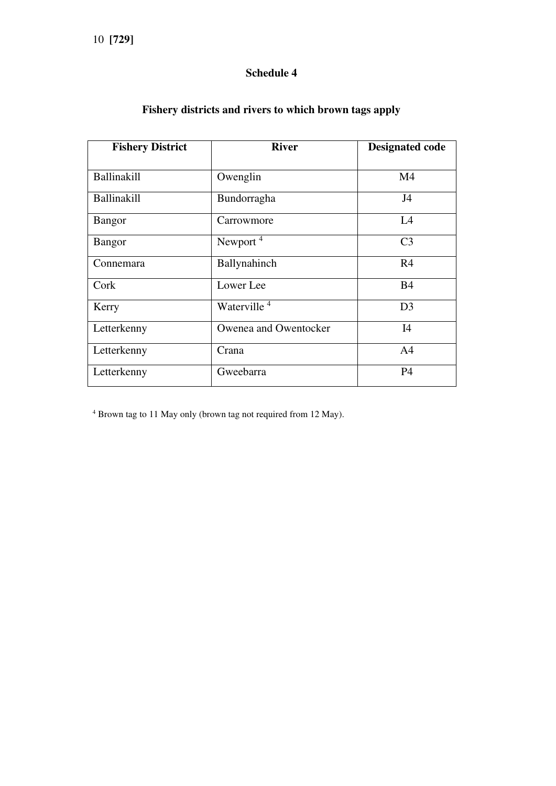# **Schedule 4**

| <b>Fishery District</b> | <b>River</b>            | <b>Designated code</b> |
|-------------------------|-------------------------|------------------------|
| Ballinakill             | Owenglin                | M <sub>4</sub>         |
| Ballinakill             | Bundorragha             | J <sub>4</sub>         |
| <b>Bangor</b>           | Carrowmore              | L4                     |
| <b>Bangor</b>           | Newport <sup>4</sup>    | C <sub>3</sub>         |
| Connemara               | Ballynahinch            | R <sub>4</sub>         |
| Cork                    | Lower Lee               | <b>B4</b>              |
| Kerry                   | Waterville <sup>4</sup> | D <sub>3</sub>         |
| Letterkenny             | Owenea and Owentocker   | I4                     |
| Letterkenny             | Crana                   | A <sub>4</sub>         |
| Letterkenny             | Gweebarra               | <b>P4</b>              |

# **Fishery districts and rivers to which brown tags apply**

4 Brown tag to 11 May only (brown tag not required from 12 May).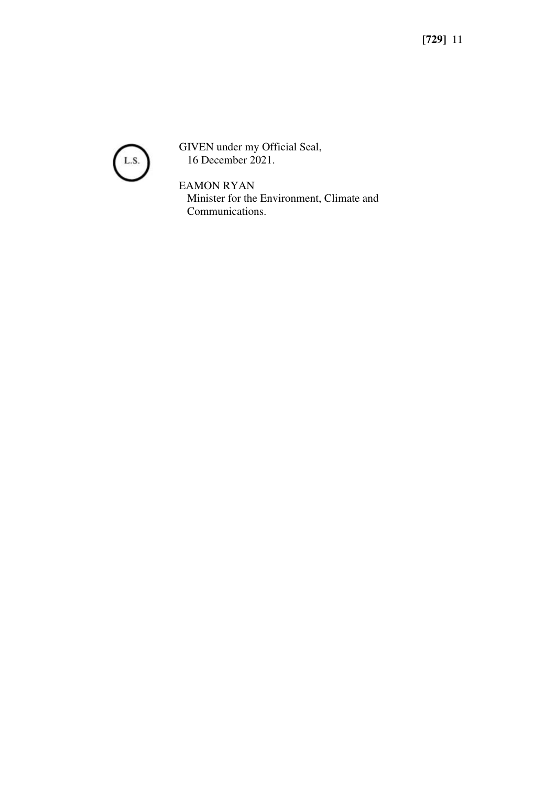

GIVEN under my Official Seal, 16 December 2021.

EAMON RYAN Minister for the Environment, Climate and Communications.